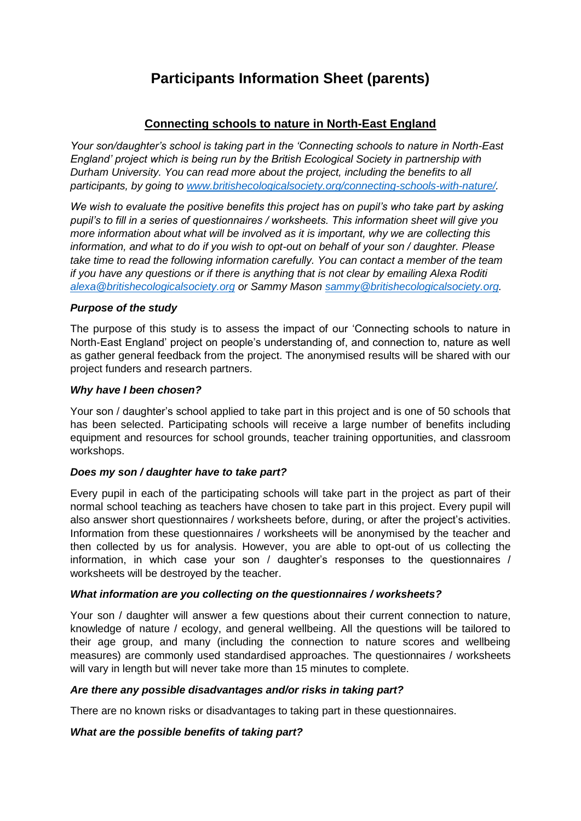# **Participants Information Sheet (parents)**

### **Connecting schools to nature in North-East England**

*Your son/daughter's school is taking part in the 'Connecting schools to nature in North-East England' project which is being run by the British Ecological Society in partnership with Durham University. You can read more about the project, including the benefits to all participants, by going to [www.britishecologicalsociety.org/connecting-schools-with-nature/.](about:blank)*

*We wish to evaluate the positive benefits this project has on pupil's who take part by asking pupil's to fill in a series of questionnaires / worksheets. This information sheet will give you more information about what will be involved as it is important, why we are collecting this information, and what to do if you wish to opt-out on behalf of your son / daughter. Please take time to read the following information carefully. You can contact a member of the team if you have any questions or if there is anything that is not clear by emailing Alexa Roditi [alexa@britishecologicalsociety.org](about:blank) or Sammy Mason [sammy@britishecologicalsociety.org.](about:blank)*

#### *Purpose of the study*

The purpose of this study is to assess the impact of our 'Connecting schools to nature in North-East England' project on people's understanding of, and connection to, nature as well as gather general feedback from the project. The anonymised results will be shared with our project funders and research partners.

#### *Why have I been chosen?*

Your son / daughter's school applied to take part in this project and is one of 50 schools that has been selected. Participating schools will receive a large number of benefits including equipment and resources for school grounds, teacher training opportunities, and classroom workshops.

#### *Does my son / daughter have to take part?*

Every pupil in each of the participating schools will take part in the project as part of their normal school teaching as teachers have chosen to take part in this project. Every pupil will also answer short questionnaires / worksheets before, during, or after the project's activities. Information from these questionnaires / worksheets will be anonymised by the teacher and then collected by us for analysis. However, you are able to opt-out of us collecting the information, in which case your son / daughter's responses to the questionnaires / worksheets will be destroyed by the teacher.

#### *What information are you collecting on the questionnaires / worksheets?*

Your son / daughter will answer a few questions about their current connection to nature, knowledge of nature / ecology, and general wellbeing. All the questions will be tailored to their age group, and many (including the connection to nature scores and wellbeing measures) are commonly used standardised approaches. The questionnaires / worksheets will vary in length but will never take more than 15 minutes to complete.

#### *Are there any possible disadvantages and/or risks in taking part?*

There are no known risks or disadvantages to taking part in these questionnaires.

#### *What are the possible benefits of taking part?*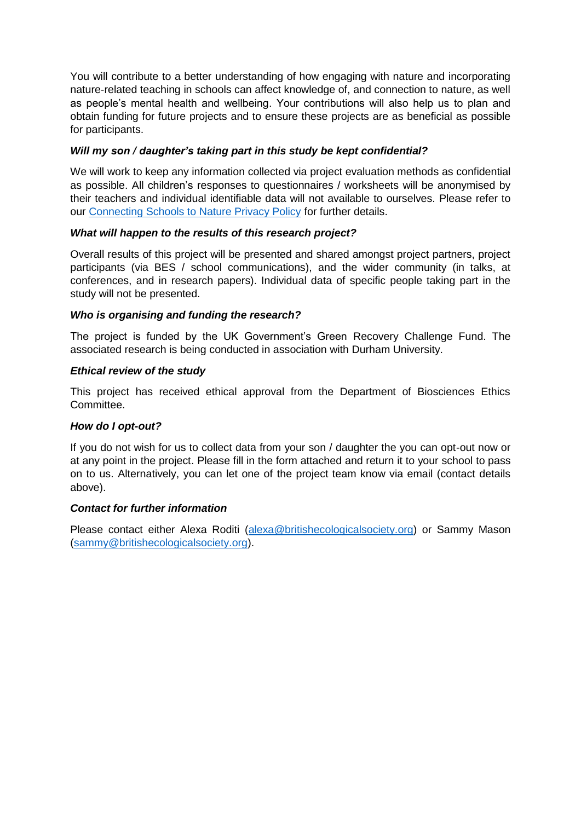You will contribute to a better understanding of how engaging with nature and incorporating nature-related teaching in schools can affect knowledge of, and connection to nature, as well as people's mental health and wellbeing. Your contributions will also help us to plan and obtain funding for future projects and to ensure these projects are as beneficial as possible for participants.

#### *Will my son / daughter's taking part in this study be kept confidential?*

We will work to keep any information collected via project evaluation methods as confidential as possible. All children's responses to questionnaires / worksheets will be anonymised by their teachers and individual identifiable data will not available to ourselves. Please refer to our [Connecting Schools to Nature Privacy Policy](about:blank) for further details.

#### *What will happen to the results of this research project?*

Overall results of this project will be presented and shared amongst project partners, project participants (via BES / school communications), and the wider community (in talks, at conferences, and in research papers). Individual data of specific people taking part in the study will not be presented.

#### *Who is organising and funding the research?*

The project is funded by the UK Government's Green Recovery Challenge Fund. The associated research is being conducted in association with Durham University.

#### *Ethical review of the study*

This project has received ethical approval from the Department of Biosciences Ethics Committee.

#### *How do I opt-out?*

If you do not wish for us to collect data from your son / daughter the you can opt-out now or at any point in the project. Please fill in the form attached and return it to your school to pass on to us. Alternatively, you can let one of the project team know via email (contact details above).

#### *Contact for further information*

Please contact either Alexa Roditi [\(alexa@britishecologicalsociety.org\)](about:blank) or Sammy Mason [\(sammy@britishecologicalsociety.org\)](about:blank).